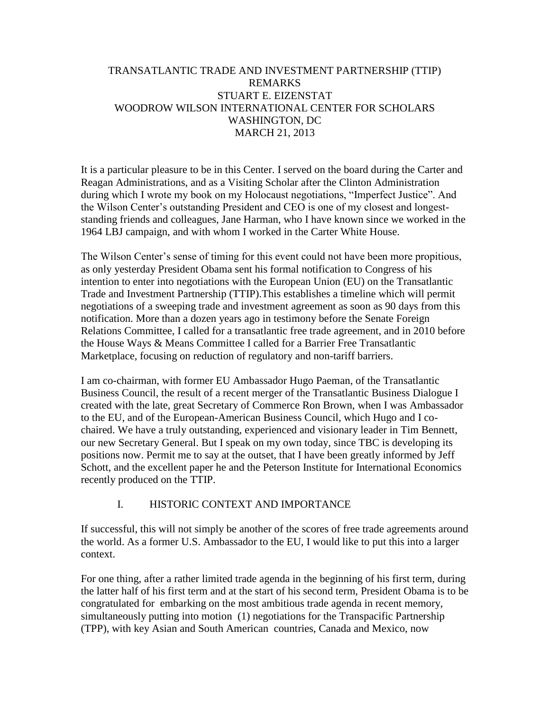## TRANSATLANTIC TRADE AND INVESTMENT PARTNERSHIP (TTIP) REMARKS STUART E. EIZENSTAT WOODROW WILSON INTERNATIONAL CENTER FOR SCHOLARS WASHINGTON, DC MARCH 21, 2013

It is a particular pleasure to be in this Center. I served on the board during the Carter and Reagan Administrations, and as a Visiting Scholar after the Clinton Administration during which I wrote my book on my Holocaust negotiations, "Imperfect Justice". And the Wilson Center's outstanding President and CEO is one of my closest and longeststanding friends and colleagues, Jane Harman, who I have known since we worked in the 1964 LBJ campaign, and with whom I worked in the Carter White House.

The Wilson Center's sense of timing for this event could not have been more propitious, as only yesterday President Obama sent his formal notification to Congress of his intention to enter into negotiations with the European Union (EU) on the Transatlantic Trade and Investment Partnership (TTIP).This establishes a timeline which will permit negotiations of a sweeping trade and investment agreement as soon as 90 days from this notification. More than a dozen years ago in testimony before the Senate Foreign Relations Committee, I called for a transatlantic free trade agreement, and in 2010 before the House Ways & Means Committee I called for a Barrier Free Transatlantic Marketplace, focusing on reduction of regulatory and non-tariff barriers.

I am co-chairman, with former EU Ambassador Hugo Paeman, of the Transatlantic Business Council, the result of a recent merger of the Transatlantic Business Dialogue I created with the late, great Secretary of Commerce Ron Brown, when I was Ambassador to the EU, and of the European-American Business Council, which Hugo and I cochaired. We have a truly outstanding, experienced and visionary leader in Tim Bennett, our new Secretary General. But I speak on my own today, since TBC is developing its positions now. Permit me to say at the outset, that I have been greatly informed by Jeff Schott, and the excellent paper he and the Peterson Institute for International Economics recently produced on the TTIP.

## I. HISTORIC CONTEXT AND IMPORTANCE

If successful, this will not simply be another of the scores of free trade agreements around the world. As a former U.S. Ambassador to the EU, I would like to put this into a larger context.

For one thing, after a rather limited trade agenda in the beginning of his first term, during the latter half of his first term and at the start of his second term, President Obama is to be congratulated for embarking on the most ambitious trade agenda in recent memory, simultaneously putting into motion (1) negotiations for the Transpacific Partnership (TPP), with key Asian and South American countries, Canada and Mexico, now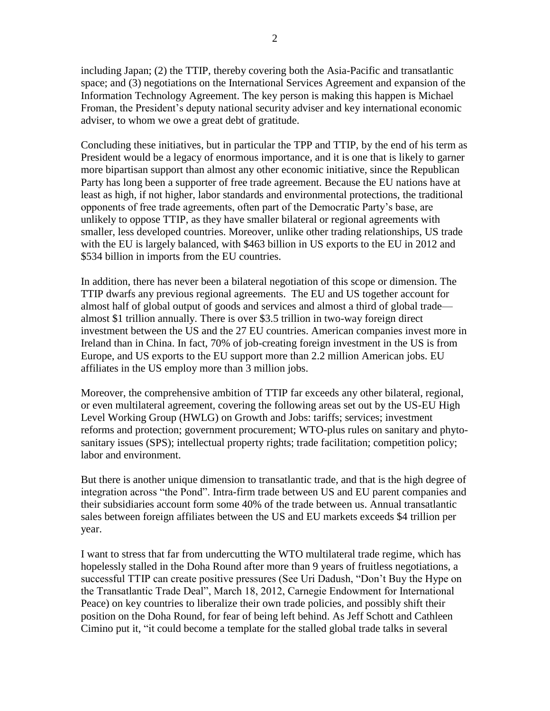including Japan; (2) the TTIP, thereby covering both the Asia-Pacific and transatlantic space; and (3) negotiations on the International Services Agreement and expansion of the Information Technology Agreement. The key person is making this happen is Michael Froman, the President's deputy national security adviser and key international economic adviser, to whom we owe a great debt of gratitude.

Concluding these initiatives, but in particular the TPP and TTIP, by the end of his term as President would be a legacy of enormous importance, and it is one that is likely to garner more bipartisan support than almost any other economic initiative, since the Republican Party has long been a supporter of free trade agreement. Because the EU nations have at least as high, if not higher, labor standards and environmental protections, the traditional opponents of free trade agreements, often part of the Democratic Party's base, are unlikely to oppose TTIP, as they have smaller bilateral or regional agreements with smaller, less developed countries. Moreover, unlike other trading relationships, US trade with the EU is largely balanced, with \$463 billion in US exports to the EU in 2012 and \$534 billion in imports from the EU countries.

In addition, there has never been a bilateral negotiation of this scope or dimension. The TTIP dwarfs any previous regional agreements. The EU and US together account for almost half of global output of goods and services and almost a third of global trade almost \$1 trillion annually. There is over \$3.5 trillion in two-way foreign direct investment between the US and the 27 EU countries. American companies invest more in Ireland than in China. In fact, 70% of job-creating foreign investment in the US is from Europe, and US exports to the EU support more than 2.2 million American jobs. EU affiliates in the US employ more than 3 million jobs.

Moreover, the comprehensive ambition of TTIP far exceeds any other bilateral, regional, or even multilateral agreement, covering the following areas set out by the US-EU High Level Working Group (HWLG) on Growth and Jobs: tariffs; services; investment reforms and protection; government procurement; WTO-plus rules on sanitary and phytosanitary issues (SPS); intellectual property rights; trade facilitation; competition policy; labor and environment.

But there is another unique dimension to transatlantic trade, and that is the high degree of integration across "the Pond". Intra-firm trade between US and EU parent companies and their subsidiaries account form some 40% of the trade between us. Annual transatlantic sales between foreign affiliates between the US and EU markets exceeds \$4 trillion per year.

I want to stress that far from undercutting the WTO multilateral trade regime, which has hopelessly stalled in the Doha Round after more than 9 years of fruitless negotiations, a successful TTIP can create positive pressures (See Uri Dadush, "Don't Buy the Hype on the Transatlantic Trade Deal", March 18, 2012, Carnegie Endowment for International Peace) on key countries to liberalize their own trade policies, and possibly shift their position on the Doha Round, for fear of being left behind. As Jeff Schott and Cathleen Cimino put it, "it could become a template for the stalled global trade talks in several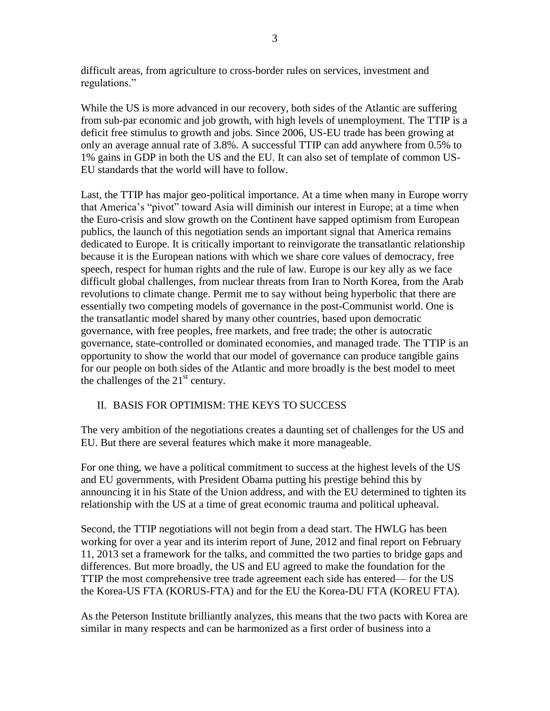difficult areas, from agriculture to cross-border rules on services, investment and regulations."

While the US is more advanced in our recovery, both sides of the Atlantic are suffering from sub-par economic and job growth, with high levels of unemployment. The TTIP is a deficit free stimulus to growth and jobs. Since 2006, US-EU trade has been growing at only an average annual rate of 3.8%. A successful TTIP can add anywhere from 0.5% to 1% gains in GDP in both the US and the EU. It can also set of template of common US-EU standards that the world will have to follow.

Last, the TTIP has major geo-political importance. At a time when many in Europe worry that America's "pivot" toward Asia will diminish our interest in Europe; at a time when the Euro-crisis and slow growth on the Continent have sapped optimism from European publics, the launch of this negotiation sends an important signal that America remains dedicated to Europe. It is critically important to reinvigorate the transatlantic relationship because it is the European nations with which we share core values of democracy, free speech, respect for human rights and the rule of law. Europe is our key ally as we face difficult global challenges, from nuclear threats from Iran to North Korea, from the Arab revolutions to climate change. Permit me to say without being hyperbolic that there are essentially two competing models of governance in the post-Communist world. One is the transatlantic model shared by many other countries, based upon democratic governance, with free peoples, free markets, and free trade; the other is autocratic governance, state-controlled or dominated economies, and managed trade. The TTIP is an opportunity to show the world that our model of governance can produce tangible gains for our people on both sides of the Atlantic and more broadly is the best model to meet the challenges of the  $21<sup>st</sup>$  century.

## II. BASIS FOR OPTIMISM: THE KEYS TO SUCCESS

The very ambition of the negotiations creates a daunting set of challenges for the US and EU. But there are several features which make it more manageable.

For one thing, we have a political commitment to success at the highest levels of the US and EU governments, with President Obama putting his prestige behind this by announcing it in his State of the Union address, and with the EU determined to tighten its relationship with the US at a time of great economic trauma and political upheaval.

Second, the TTIP negotiations will not begin from a dead start. The HWLG has been working for over a year and its interim report of June, 2012 and final report on February 11, 2013 set a framework for the talks, and committed the two parties to bridge gaps and differences. But more broadly, the US and EU agreed to make the foundation for the TTIP the most comprehensive tree trade agreement each side has entered— for the US the Korea-US FTA (KORUS-FTA) and for the EU the Korea-DU FTA (KOREU FTA).

As the Peterson Institute brilliantly analyzes, this means that the two pacts with Korea are similar in many respects and can be harmonized as a first order of business into a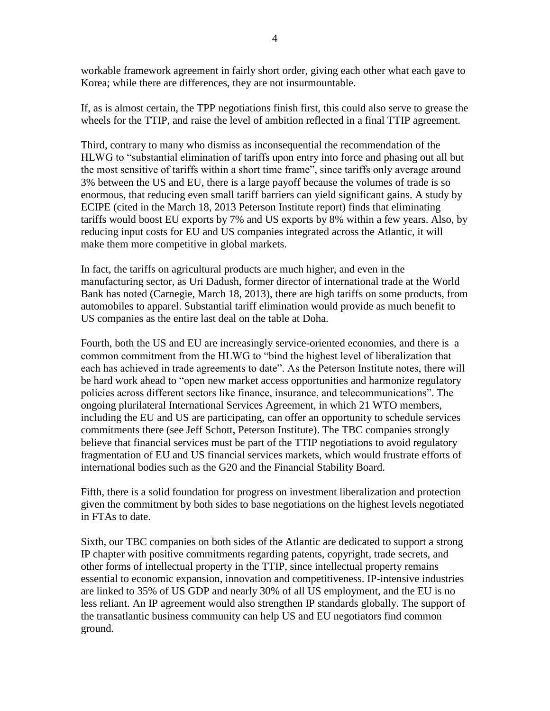workable framework agreement in fairly short order, giving each other what each gave to Korea; while there are differences, they are not insurmountable.

If, as is almost certain, the TPP negotiations finish first, this could also serve to grease the wheels for the TTIP, and raise the level of ambition reflected in a final TTIP agreement.

Third, contrary to many who dismiss as inconsequential the recommendation of the HLWG to "substantial elimination of tariffs upon entry into force and phasing out all but the most sensitive of tariffs within a short time frame", since tariffs only average around 3% between the US and EU, there is a large payoff because the volumes of trade is so enormous, that reducing even small tariff barriers can yield significant gains. A study by ECIPE (cited in the March 18, 2013 Peterson Institute report) finds that eliminating tariffs would boost EU exports by 7% and US exports by 8% within a few years. Also, by reducing input costs for EU and US companies integrated across the Atlantic, it will make them more competitive in global markets.

In fact, the tariffs on agricultural products are much higher, and even in the manufacturing sector, as Uri Dadush, former director of international trade at the World Bank has noted (Carnegie, March 18, 2013), there are high tariffs on some products, from automobiles to apparel. Substantial tariff elimination would provide as much benefit to US companies as the entire last deal on the table at Doha.

Fourth, both the US and EU are increasingly service-oriented economies, and there is a common commitment from the HLWG to "bind the highest level of liberalization that each has achieved in trade agreements to date". As the Peterson Institute notes, there will be hard work ahead to "open new market access opportunities and harmonize regulatory policies across different sectors like finance, insurance, and telecommunications". The ongoing plurilateral International Services Agreement, in which 21 WTO members, including the EU and US are participating, can offer an opportunity to schedule services commitments there (see Jeff Schott, Peterson Institute). The TBC companies strongly believe that financial services must be part of the TTIP negotiations to avoid regulatory fragmentation of EU and US financial services markets, which would frustrate efforts of international bodies such as the G20 and the Financial Stability Board.

Fifth, there is a solid foundation for progress on investment liberalization and protection given the commitment by both sides to base negotiations on the highest levels negotiated in FTAs to date.

Sixth, our TBC companies on both sides of the Atlantic are dedicated to support a strong IP chapter with positive commitments regarding patents, copyright, trade secrets, and other forms of intellectual property in the TTIP, since intellectual property remains essential to economic expansion, innovation and competitiveness. IP-intensive industries are linked to 35% of US GDP and nearly 30% of all US employment, and the EU is no less reliant. An IP agreement would also strengthen IP standards globally. The support of the transatlantic business community can help US and EU negotiators find common ground.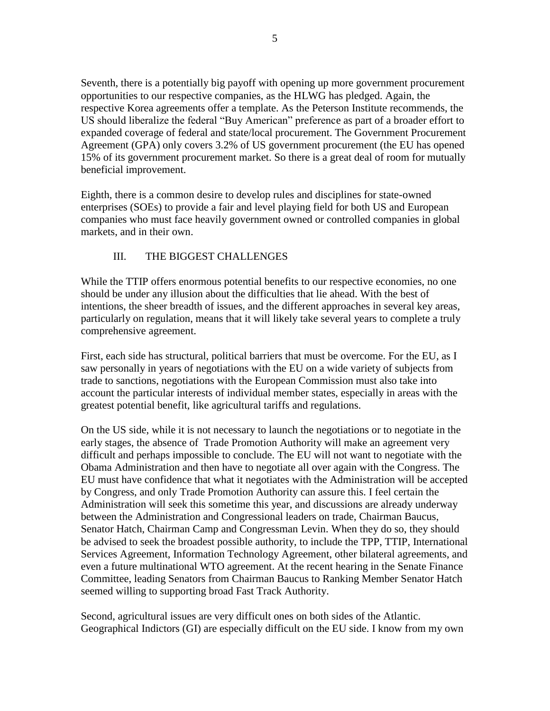Seventh, there is a potentially big payoff with opening up more government procurement opportunities to our respective companies, as the HLWG has pledged. Again, the respective Korea agreements offer a template. As the Peterson Institute recommends, the US should liberalize the federal "Buy American" preference as part of a broader effort to expanded coverage of federal and state/local procurement. The Government Procurement Agreement (GPA) only covers 3.2% of US government procurement (the EU has opened 15% of its government procurement market. So there is a great deal of room for mutually beneficial improvement.

Eighth, there is a common desire to develop rules and disciplines for state-owned enterprises (SOEs) to provide a fair and level playing field for both US and European companies who must face heavily government owned or controlled companies in global markets, and in their own.

## III. THE BIGGEST CHALLENGES

While the TTIP offers enormous potential benefits to our respective economies, no one should be under any illusion about the difficulties that lie ahead. With the best of intentions, the sheer breadth of issues, and the different approaches in several key areas, particularly on regulation, means that it will likely take several years to complete a truly comprehensive agreement.

First, each side has structural, political barriers that must be overcome. For the EU, as I saw personally in years of negotiations with the EU on a wide variety of subjects from trade to sanctions, negotiations with the European Commission must also take into account the particular interests of individual member states, especially in areas with the greatest potential benefit, like agricultural tariffs and regulations.

On the US side, while it is not necessary to launch the negotiations or to negotiate in the early stages, the absence of Trade Promotion Authority will make an agreement very difficult and perhaps impossible to conclude. The EU will not want to negotiate with the Obama Administration and then have to negotiate all over again with the Congress. The EU must have confidence that what it negotiates with the Administration will be accepted by Congress, and only Trade Promotion Authority can assure this. I feel certain the Administration will seek this sometime this year, and discussions are already underway between the Administration and Congressional leaders on trade, Chairman Baucus, Senator Hatch, Chairman Camp and Congressman Levin. When they do so, they should be advised to seek the broadest possible authority, to include the TPP, TTIP, International Services Agreement, Information Technology Agreement, other bilateral agreements, and even a future multinational WTO agreement. At the recent hearing in the Senate Finance Committee, leading Senators from Chairman Baucus to Ranking Member Senator Hatch seemed willing to supporting broad Fast Track Authority.

Second, agricultural issues are very difficult ones on both sides of the Atlantic. Geographical Indictors (GI) are especially difficult on the EU side. I know from my own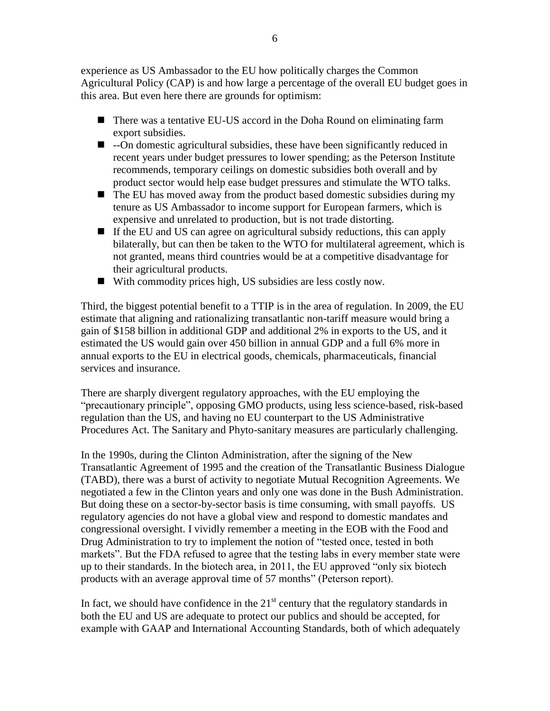experience as US Ambassador to the EU how politically charges the Common Agricultural Policy (CAP) is and how large a percentage of the overall EU budget goes in this area. But even here there are grounds for optimism:

- There was a tentative EU-US accord in the Doha Round on eliminating farm export subsidies.
- $\blacksquare$  --On domestic agricultural subsidies, these have been significantly reduced in recent years under budget pressures to lower spending; as the Peterson Institute recommends, temporary ceilings on domestic subsidies both overall and by product sector would help ease budget pressures and stimulate the WTO talks.
- $\blacksquare$  The EU has moved away from the product based domestic subsidies during my tenure as US Ambassador to income support for European farmers, which is expensive and unrelated to production, but is not trade distorting.
- If the EU and US can agree on agricultural subsidy reductions, this can apply bilaterally, but can then be taken to the WTO for multilateral agreement, which is not granted, means third countries would be at a competitive disadvantage for their agricultural products.
- With commodity prices high, US subsidies are less costly now.

Third, the biggest potential benefit to a TTIP is in the area of regulation. In 2009, the EU estimate that aligning and rationalizing transatlantic non-tariff measure would bring a gain of \$158 billion in additional GDP and additional 2% in exports to the US, and it estimated the US would gain over 450 billion in annual GDP and a full 6% more in annual exports to the EU in electrical goods, chemicals, pharmaceuticals, financial services and insurance.

There are sharply divergent regulatory approaches, with the EU employing the "precautionary principle", opposing GMO products, using less science-based, risk-based regulation than the US, and having no EU counterpart to the US Administrative Procedures Act. The Sanitary and Phyto-sanitary measures are particularly challenging.

In the 1990s, during the Clinton Administration, after the signing of the New Transatlantic Agreement of 1995 and the creation of the Transatlantic Business Dialogue (TABD), there was a burst of activity to negotiate Mutual Recognition Agreements. We negotiated a few in the Clinton years and only one was done in the Bush Administration. But doing these on a sector-by-sector basis is time consuming, with small payoffs. US regulatory agencies do not have a global view and respond to domestic mandates and congressional oversight. I vividly remember a meeting in the EOB with the Food and Drug Administration to try to implement the notion of "tested once, tested in both markets". But the FDA refused to agree that the testing labs in every member state were up to their standards. In the biotech area, in 2011, the EU approved "only six biotech products with an average approval time of 57 months" (Peterson report).

In fact, we should have confidence in the  $21<sup>st</sup>$  century that the regulatory standards in both the EU and US are adequate to protect our publics and should be accepted, for example with GAAP and International Accounting Standards, both of which adequately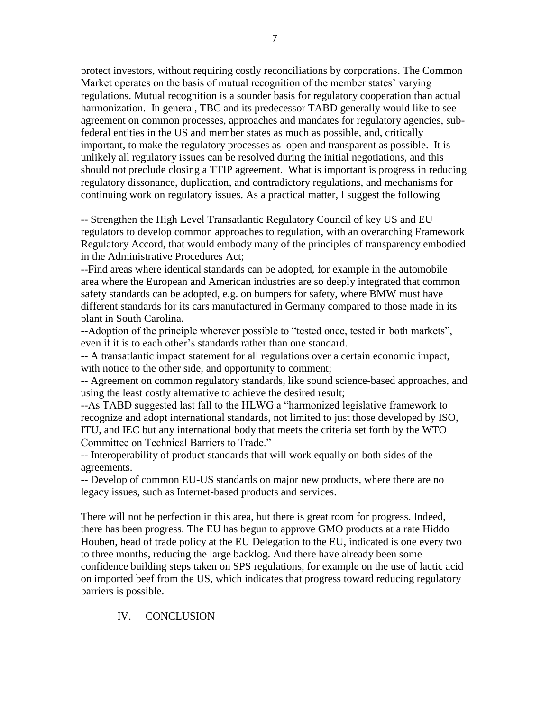protect investors, without requiring costly reconciliations by corporations. The Common Market operates on the basis of mutual recognition of the member states' varying regulations. Mutual recognition is a sounder basis for regulatory cooperation than actual harmonization. In general, TBC and its predecessor TABD generally would like to see agreement on common processes, approaches and mandates for regulatory agencies, subfederal entities in the US and member states as much as possible, and, critically important, to make the regulatory processes as open and transparent as possible. It is unlikely all regulatory issues can be resolved during the initial negotiations, and this should not preclude closing a TTIP agreement. What is important is progress in reducing regulatory dissonance, duplication, and contradictory regulations, and mechanisms for continuing work on regulatory issues. As a practical matter, I suggest the following

-- Strengthen the High Level Transatlantic Regulatory Council of key US and EU regulators to develop common approaches to regulation, with an overarching Framework Regulatory Accord, that would embody many of the principles of transparency embodied in the Administrative Procedures Act;

--Find areas where identical standards can be adopted, for example in the automobile area where the European and American industries are so deeply integrated that common safety standards can be adopted, e.g. on bumpers for safety, where BMW must have different standards for its cars manufactured in Germany compared to those made in its plant in South Carolina.

--Adoption of the principle wherever possible to "tested once, tested in both markets", even if it is to each other's standards rather than one standard.

-- A transatlantic impact statement for all regulations over a certain economic impact, with notice to the other side, and opportunity to comment;

-- Agreement on common regulatory standards, like sound science-based approaches, and using the least costly alternative to achieve the desired result;

--As TABD suggested last fall to the HLWG a "harmonized legislative framework to recognize and adopt international standards, not limited to just those developed by ISO, ITU, and IEC but any international body that meets the criteria set forth by the WTO Committee on Technical Barriers to Trade."

-- Interoperability of product standards that will work equally on both sides of the agreements.

-- Develop of common EU-US standards on major new products, where there are no legacy issues, such as Internet-based products and services.

There will not be perfection in this area, but there is great room for progress. Indeed, there has been progress. The EU has begun to approve GMO products at a rate Hiddo Houben, head of trade policy at the EU Delegation to the EU, indicated is one every two to three months, reducing the large backlog. And there have already been some confidence building steps taken on SPS regulations, for example on the use of lactic acid on imported beef from the US, which indicates that progress toward reducing regulatory barriers is possible.

IV. CONCLUSION